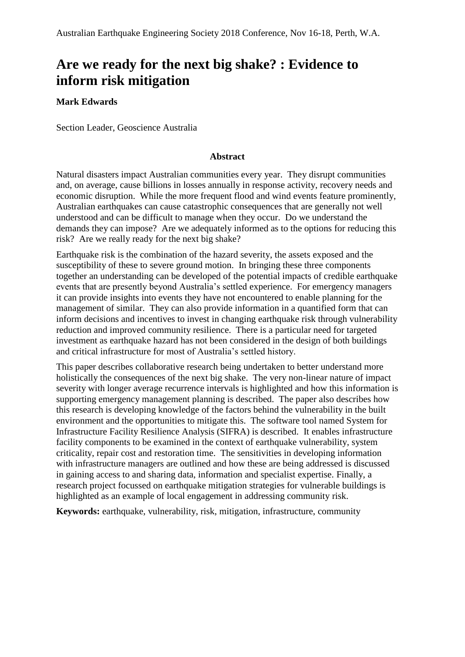# **Are we ready for the next big shake? : Evidence to inform risk mitigation**

#### **Mark Edwards**

Section Leader, Geoscience Australia

#### **Abstract**

Natural disasters impact Australian communities every year. They disrupt communities and, on average, cause billions in losses annually in response activity, recovery needs and economic disruption. While the more frequent flood and wind events feature prominently, Australian earthquakes can cause catastrophic consequences that are generally not well understood and can be difficult to manage when they occur. Do we understand the demands they can impose? Are we adequately informed as to the options for reducing this risk? Are we really ready for the next big shake?

Earthquake risk is the combination of the hazard severity, the assets exposed and the susceptibility of these to severe ground motion. In bringing these three components together an understanding can be developed of the potential impacts of credible earthquake events that are presently beyond Australia's settled experience. For emergency managers it can provide insights into events they have not encountered to enable planning for the management of similar. They can also provide information in a quantified form that can inform decisions and incentives to invest in changing earthquake risk through vulnerability reduction and improved community resilience. There is a particular need for targeted investment as earthquake hazard has not been considered in the design of both buildings and critical infrastructure for most of Australia's settled history.

This paper describes collaborative research being undertaken to better understand more holistically the consequences of the next big shake. The very non-linear nature of impact severity with longer average recurrence intervals is highlighted and how this information is supporting emergency management planning is described. The paper also describes how this research is developing knowledge of the factors behind the vulnerability in the built environment and the opportunities to mitigate this. The software tool named System for Infrastructure Facility Resilience Analysis (SIFRA) is described. It enables infrastructure facility components to be examined in the context of earthquake vulnerability, system criticality, repair cost and restoration time. The sensitivities in developing information with infrastructure managers are outlined and how these are being addressed is discussed in gaining access to and sharing data, information and specialist expertise. Finally, a research project focussed on earthquake mitigation strategies for vulnerable buildings is highlighted as an example of local engagement in addressing community risk.

**Keywords:** earthquake, vulnerability, risk, mitigation, infrastructure, community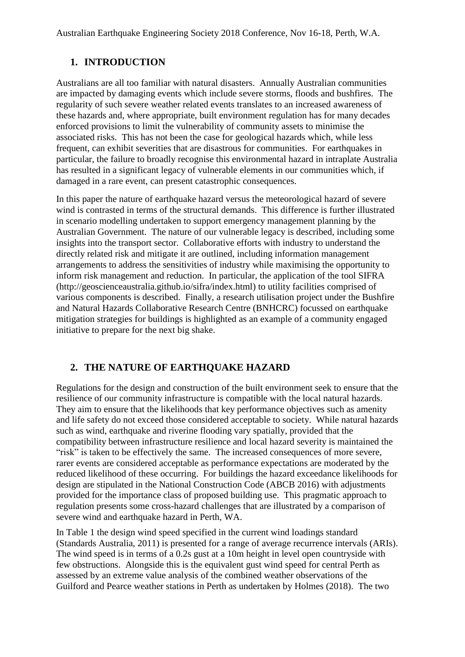# **1. INTRODUCTION**

Australians are all too familiar with natural disasters. Annually Australian communities are impacted by damaging events which include severe storms, floods and bushfires. The regularity of such severe weather related events translates to an increased awareness of these hazards and, where appropriate, built environment regulation has for many decades enforced provisions to limit the vulnerability of community assets to minimise the associated risks. This has not been the case for geological hazards which, while less frequent, can exhibit severities that are disastrous for communities. For earthquakes in particular, the failure to broadly recognise this environmental hazard in intraplate Australia has resulted in a significant legacy of vulnerable elements in our communities which, if damaged in a rare event, can present catastrophic consequences.

In this paper the nature of earthquake hazard versus the meteorological hazard of severe wind is contrasted in terms of the structural demands. This difference is further illustrated in scenario modelling undertaken to support emergency management planning by the Australian Government. The nature of our vulnerable legacy is described, including some insights into the transport sector. Collaborative efforts with industry to understand the directly related risk and mitigate it are outlined, including information management arrangements to address the sensitivities of industry while maximising the opportunity to inform risk management and reduction. In particular, the application of the tool SIFRA (http://geoscienceaustralia.github.io/sifra/index.html) to utility facilities comprised of various components is described. Finally, a research utilisation project under the Bushfire and Natural Hazards Collaborative Research Centre (BNHCRC) focussed on earthquake mitigation strategies for buildings is highlighted as an example of a community engaged initiative to prepare for the next big shake.

# **2. THE NATURE OF EARTHQUAKE HAZARD**

Regulations for the design and construction of the built environment seek to ensure that the resilience of our community infrastructure is compatible with the local natural hazards. They aim to ensure that the likelihoods that key performance objectives such as amenity and life safety do not exceed those considered acceptable to society. While natural hazards such as wind, earthquake and riverine flooding vary spatially, provided that the compatibility between infrastructure resilience and local hazard severity is maintained the "risk" is taken to be effectively the same. The increased consequences of more severe, rarer events are considered acceptable as performance expectations are moderated by the reduced likelihood of these occurring. For buildings the hazard exceedance likelihoods for design are stipulated in the National Construction Code (ABCB 2016) with adjustments provided for the importance class of proposed building use. This pragmatic approach to regulation presents some cross-hazard challenges that are illustrated by a comparison of severe wind and earthquake hazard in Perth, WA.

In Table 1 the design wind speed specified in the current wind loadings standard (Standards Australia, 2011) is presented for a range of average recurrence intervals (ARIs). The wind speed is in terms of a 0.2s gust at a 10m height in level open countryside with few obstructions. Alongside this is the equivalent gust wind speed for central Perth as assessed by an extreme value analysis of the combined weather observations of the Guilford and Pearce weather stations in Perth as undertaken by Holmes (2018). The two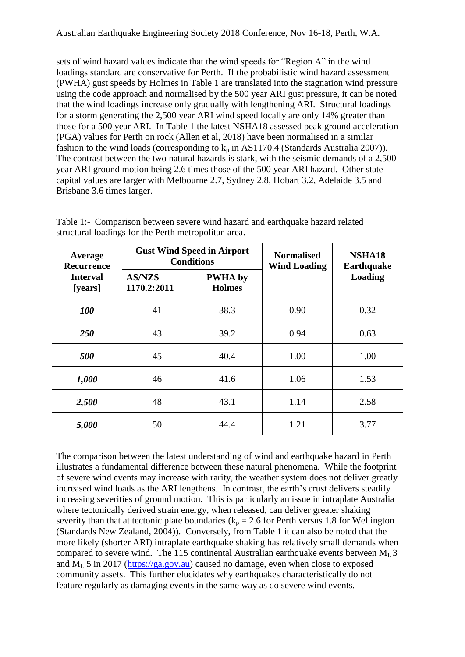sets of wind hazard values indicate that the wind speeds for "Region A" in the wind loadings standard are conservative for Perth. If the probabilistic wind hazard assessment (PWHA) gust speeds by Holmes in Table 1 are translated into the stagnation wind pressure using the code approach and normalised by the 500 year ARI gust pressure, it can be noted that the wind loadings increase only gradually with lengthening ARI. Structural loadings for a storm generating the 2,500 year ARI wind speed locally are only 14% greater than those for a 500 year ARI. In Table 1 the latest NSHA18 assessed peak ground acceleration (PGA) values for Perth on rock (Allen et al, 2018) have been normalised in a similar fashion to the wind loads (corresponding to  $k_p$  in AS1170.4 (Standards Australia 2007)). The contrast between the two natural hazards is stark, with the seismic demands of a 2,500 year ARI ground motion being 2.6 times those of the 500 year ARI hazard. Other state capital values are larger with Melbourne 2.7, Sydney 2.8, Hobart 3.2, Adelaide 3.5 and Brisbane 3.6 times larger.

| Average<br><b>Recurrence</b><br><b>Interval</b><br>[years] |                              | <b>Gust Wind Speed in Airport</b><br><b>Conditions</b> | <b>Normalised</b><br><b>Wind Loading</b> | NSHA18<br><b>Earthquake</b><br><b>Loading</b> |  |
|------------------------------------------------------------|------------------------------|--------------------------------------------------------|------------------------------------------|-----------------------------------------------|--|
|                                                            | <b>AS/NZS</b><br>1170.2:2011 | <b>PWHA</b> by<br><b>Holmes</b>                        |                                          |                                               |  |
| 100                                                        | 41                           | 38.3                                                   | 0.90                                     | 0.32                                          |  |
| <b>250</b>                                                 | 43                           | 39.2                                                   | 0.94                                     | 0.63                                          |  |
| 500                                                        | 45                           | 40.4                                                   | 1.00                                     | 1.00                                          |  |
| 1,000                                                      | 46                           | 41.6                                                   | 1.06                                     | 1.53                                          |  |
| 2,500                                                      | 48                           | 43.1                                                   | 1.14                                     | 2.58                                          |  |
| 5,000                                                      | 50                           | 44.4                                                   | 1.21                                     | 3.77                                          |  |

Table 1:- Comparison between severe wind hazard and earthquake hazard related structural loadings for the Perth metropolitan area.

The comparison between the latest understanding of wind and earthquake hazard in Perth illustrates a fundamental difference between these natural phenomena. While the footprint of severe wind events may increase with rarity, the weather system does not deliver greatly increased wind loads as the ARI lengthens. In contrast, the earth's crust delivers steadily increasing severities of ground motion. This is particularly an issue in intraplate Australia where tectonically derived strain energy, when released, can deliver greater shaking severity than that at tectonic plate boundaries ( $k_p = 2.6$  for Perth versus 1.8 for Wellington (Standards New Zealand, 2004)). Conversely, from Table 1 it can also be noted that the more likely (shorter ARI) intraplate earthquake shaking has relatively small demands when compared to severe wind. The 115 continental Australian earthquake events between  $M<sub>L</sub>$  3 and  $M_L$  5 in 2017 [\(https://ga.gov.au\)](https://ga.gov.au/) caused no damage, even when close to exposed community assets. This further elucidates why earthquakes characteristically do not feature regularly as damaging events in the same way as do severe wind events.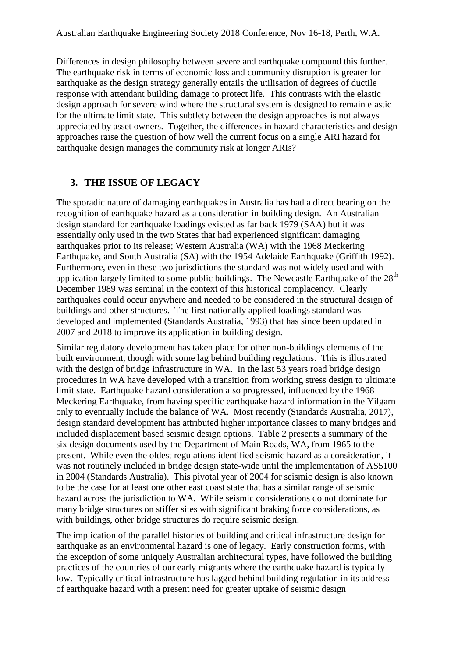Differences in design philosophy between severe and earthquake compound this further. The earthquake risk in terms of economic loss and community disruption is greater for earthquake as the design strategy generally entails the utilisation of degrees of ductile response with attendant building damage to protect life. This contrasts with the elastic design approach for severe wind where the structural system is designed to remain elastic for the ultimate limit state. This subtlety between the design approaches is not always appreciated by asset owners. Together, the differences in hazard characteristics and design approaches raise the question of how well the current focus on a single ARI hazard for earthquake design manages the community risk at longer ARIs?

# **3. THE ISSUE OF LEGACY**

The sporadic nature of damaging earthquakes in Australia has had a direct bearing on the recognition of earthquake hazard as a consideration in building design. An Australian design standard for earthquake loadings existed as far back 1979 (SAA) but it was essentially only used in the two States that had experienced significant damaging earthquakes prior to its release; Western Australia (WA) with the 1968 Meckering Earthquake, and South Australia (SA) with the 1954 Adelaide Earthquake (Griffith 1992). Furthermore, even in these two jurisdictions the standard was not widely used and with application largely limited to some public buildings. The Newcastle Earthquake of the 28<sup>th</sup> December 1989 was seminal in the context of this historical complacency. Clearly earthquakes could occur anywhere and needed to be considered in the structural design of buildings and other structures. The first nationally applied loadings standard was developed and implemented (Standards Australia, 1993) that has since been updated in 2007 and 2018 to improve its application in building design.

Similar regulatory development has taken place for other non-buildings elements of the built environment, though with some lag behind building regulations. This is illustrated with the design of bridge infrastructure in WA. In the last 53 years road bridge design procedures in WA have developed with a transition from working stress design to ultimate limit state. Earthquake hazard consideration also progressed, influenced by the 1968 Meckering Earthquake, from having specific earthquake hazard information in the Yilgarn only to eventually include the balance of WA. Most recently (Standards Australia, 2017), design standard development has attributed higher importance classes to many bridges and included displacement based seismic design options. Table 2 presents a summary of the six design documents used by the Department of Main Roads, WA, from 1965 to the present. While even the oldest regulations identified seismic hazard as a consideration, it was not routinely included in bridge design state-wide until the implementation of AS5100 in 2004 (Standards Australia). This pivotal year of 2004 for seismic design is also known to be the case for at least one other east coast state that has a similar range of seismic hazard across the jurisdiction to WA. While seismic considerations do not dominate for many bridge structures on stiffer sites with significant braking force considerations, as with buildings, other bridge structures do require seismic design.

The implication of the parallel histories of building and critical infrastructure design for earthquake as an environmental hazard is one of legacy. Early construction forms, with the exception of some uniquely Australian architectural types, have followed the building practices of the countries of our early migrants where the earthquake hazard is typically low. Typically critical infrastructure has lagged behind building regulation in its address of earthquake hazard with a present need for greater uptake of seismic design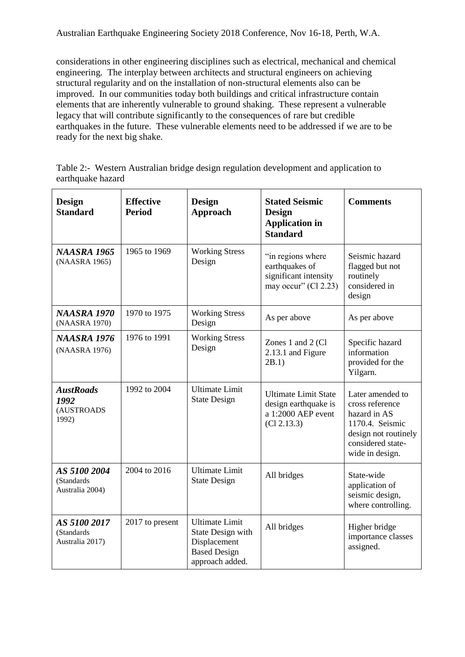considerations in other engineering disciplines such as electrical, mechanical and chemical engineering. The interplay between architects and structural engineers on achieving structural regularity and on the installation of non-structural elements also can be improved. In our communities today both buildings and critical infrastructure contain elements that are inherently vulnerable to ground shaking. These represent a vulnerable legacy that will contribute significantly to the consequences of rare but credible earthquakes in the future. These vulnerable elements need to be addressed if we are to be ready for the next big shake.

|                   |  | Table 2:- Western Australian bridge design regulation development and application to |
|-------------------|--|--------------------------------------------------------------------------------------|
| earthquake hazard |  |                                                                                      |

| <b>Design</b><br><b>Standard</b>                | <b>Effective</b><br><b>Period</b> | <b>Design</b><br><b>Approach</b>                                                                     | <b>Stated Seismic</b><br><b>Design</b><br><b>Application in</b><br><b>Standard</b>       | <b>Comments</b>                                                                                                                        |
|-------------------------------------------------|-----------------------------------|------------------------------------------------------------------------------------------------------|------------------------------------------------------------------------------------------|----------------------------------------------------------------------------------------------------------------------------------------|
| <b>NAASRA 1965</b><br>(NAASRA 1965)             | 1965 to 1969                      | <b>Working Stress</b><br>Design                                                                      | "in regions where<br>earthquakes of<br>significant intensity<br>may occur" $(Cl 2.23)$   | Seismic hazard<br>flagged but not<br>routinely<br>considered in<br>design                                                              |
| <b>NAASRA 1970</b><br>(NAASRA 1970)             | 1970 to 1975                      | <b>Working Stress</b><br>Design                                                                      | As per above                                                                             | As per above                                                                                                                           |
| <b>NAASRA 1976</b><br>(NAASRA 1976)             | 1976 to 1991                      | <b>Working Stress</b><br>Design                                                                      | Zones 1 and 2 (Cl<br>2.13.1 and Figure<br>2B.1)                                          | Specific hazard<br>information<br>provided for the<br>Yilgarn.                                                                         |
| <b>AustRoads</b><br>1992<br>(AUSTROADS<br>1992) | 1992 to 2004                      | <b>Ultimate Limit</b><br><b>State Design</b>                                                         | <b>Ultimate Limit State</b><br>design earthquake is<br>a 1:2000 AEP event<br>(Cl 2.13.3) | Later amended to<br>cross reference<br>hazard in AS<br>1170.4. Seismic<br>design not routinely<br>considered state-<br>wide in design. |
| AS 5100 2004<br>(Standards<br>Australia 2004)   | 2004 to 2016                      | <b>Ultimate Limit</b><br><b>State Design</b>                                                         | All bridges                                                                              | State-wide<br>application of<br>seismic design,<br>where controlling.                                                                  |
| AS 5100 2017<br>(Standards<br>Australia 2017)   | 2017 to present                   | <b>Ultimate Limit</b><br>State Design with<br>Displacement<br><b>Based Design</b><br>approach added. | All bridges                                                                              | Higher bridge<br>importance classes<br>assigned.                                                                                       |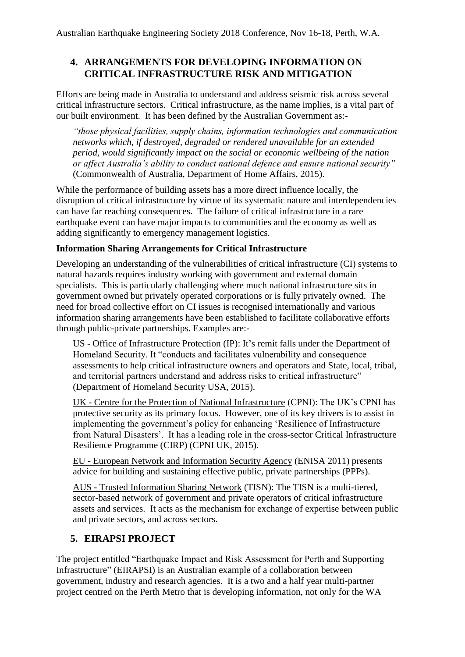# **4. ARRANGEMENTS FOR DEVELOPING INFORMATION ON CRITICAL INFRASTRUCTURE RISK AND MITIGATION**

Efforts are being made in Australia to understand and address seismic risk across several critical infrastructure sectors. Critical infrastructure, as the name implies, is a vital part of our built environment. It has been defined by the Australian Government as:-

*"those physical facilities, supply chains, information technologies and communication networks which, if destroyed, degraded or rendered unavailable for an extended period, would significantly impact on the social or economic wellbeing of the nation or affect Australia's ability to conduct national defence and ensure national security"* (Commonwealth of Australia, Department of Home Affairs, 2015).

While the performance of building assets has a more direct influence locally, the disruption of critical infrastructure by virtue of its systematic nature and interdependencies can have far reaching consequences. The failure of critical infrastructure in a rare earthquake event can have major impacts to communities and the economy as well as adding significantly to emergency management logistics.

### **Information Sharing Arrangements for Critical Infrastructure**

Developing an understanding of the vulnerabilities of critical infrastructure (CI) systems to natural hazards requires industry working with government and external domain specialists. This is particularly challenging where much national infrastructure sits in government owned but privately operated corporations or is fully privately owned. The need for broad collective effort on CI issues is recognised internationally and various information sharing arrangements have been established to facilitate collaborative efforts through public-private partnerships. Examples are:-

US - Office of Infrastructure Protection (IP): It's remit falls under the Department of Homeland Security. It "conducts and facilitates vulnerability and consequence assessments to help critical infrastructure owners and operators and State, local, tribal, and territorial partners understand and address risks to critical infrastructure" (Department of Homeland Security USA, 2015).

UK - Centre for the Protection of National Infrastructure (CPNI): The UK's CPNI has protective security as its primary focus. However, one of its key drivers is to assist in implementing the government's policy for enhancing 'Resilience of Infrastructure from Natural Disasters'. It has a leading role in the cross-sector Critical Infrastructure Resilience Programme (CIRP) (CPNI UK, 2015).

EU - European Network and Information Security Agency (ENISA 2011) presents advice for building and sustaining effective public, private partnerships (PPPs).

AUS - Trusted Information Sharing Network (TISN): The TISN is a multi-tiered, sector-based network of government and private operators of critical infrastructure assets and services. It acts as the mechanism for exchange of expertise between public and private sectors, and across sectors.

# **5. EIRAPSI PROJECT**

The project entitled "Earthquake Impact and Risk Assessment for Perth and Supporting Infrastructure" (EIRAPSI) is an Australian example of a collaboration between government, industry and research agencies. It is a two and a half year multi-partner project centred on the Perth Metro that is developing information, not only for the WA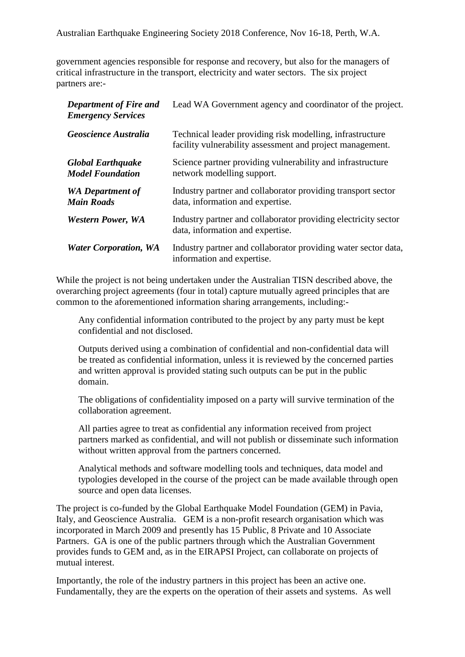government agencies responsible for response and recovery, but also for the managers of critical infrastructure in the transport, electricity and water sectors. The six project partners are:-

| <b>Department of Fire and</b><br><b>Emergency Services</b> | Lead WA Government agency and coordinator of the project.                                                              |
|------------------------------------------------------------|------------------------------------------------------------------------------------------------------------------------|
| Geoscience Australia                                       | Technical leader providing risk modelling, infrastructure<br>facility vulnerability assessment and project management. |
| <b>Global Earthquake</b><br><b>Model Foundation</b>        | Science partner providing vulnerability and infrastructure<br>network modelling support.                               |
| <b>WA</b> Department of<br><b>Main Roads</b>               | Industry partner and collaborator providing transport sector<br>data, information and expertise.                       |
| <b>Western Power, WA</b>                                   | Industry partner and collaborator providing electricity sector<br>data, information and expertise.                     |
| <b>Water Corporation, WA</b>                               | Industry partner and collaborator providing water sector data,<br>information and expertise.                           |

While the project is not being undertaken under the Australian TISN described above, the overarching project agreements (four in total) capture mutually agreed principles that are common to the aforementioned information sharing arrangements, including:-

Any confidential information contributed to the project by any party must be kept confidential and not disclosed.

Outputs derived using a combination of confidential and non-confidential data will be treated as confidential information, unless it is reviewed by the concerned parties and written approval is provided stating such outputs can be put in the public domain.

The obligations of confidentiality imposed on a party will survive termination of the collaboration agreement.

All parties agree to treat as confidential any information received from project partners marked as confidential, and will not publish or disseminate such information without written approval from the partners concerned.

Analytical methods and software modelling tools and techniques, data model and typologies developed in the course of the project can be made available through open source and open data licenses.

The project is co-funded by the Global Earthquake Model Foundation (GEM) in Pavia, Italy, and Geoscience Australia. GEM is a non-profit research organisation which was incorporated in March 2009 and presently has 15 Public, 8 Private and 10 Associate Partners. GA is one of the public partners through which the Australian Government provides funds to GEM and, as in the EIRAPSI Project, can collaborate on projects of mutual interest.

Importantly, the role of the industry partners in this project has been an active one. Fundamentally, they are the experts on the operation of their assets and systems. As well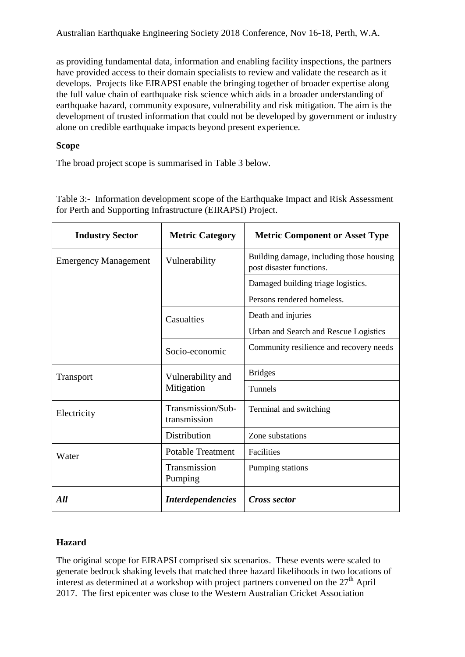as providing fundamental data, information and enabling facility inspections, the partners have provided access to their domain specialists to review and validate the research as it develops. Projects like EIRAPSI enable the bringing together of broader expertise along the full value chain of earthquake risk science which aids in a broader understanding of earthquake hazard, community exposure, vulnerability and risk mitigation. The aim is the development of trusted information that could not be developed by government or industry alone on credible earthquake impacts beyond present experience.

### **Scope**

The broad project scope is summarised in Table 3 below.

| <b>Industry Sector</b>      | <b>Metric Category</b>            | <b>Metric Component or Asset Type</b>                                |  |  |
|-----------------------------|-----------------------------------|----------------------------------------------------------------------|--|--|
| <b>Emergency Management</b> | Vulnerability                     | Building damage, including those housing<br>post disaster functions. |  |  |
|                             |                                   | Damaged building triage logistics.                                   |  |  |
|                             |                                   | Persons rendered homeless.                                           |  |  |
|                             | Casualties                        | Death and injuries                                                   |  |  |
|                             |                                   | Urban and Search and Rescue Logistics                                |  |  |
|                             | Socio-economic                    | Community resilience and recovery needs                              |  |  |
| <b>Transport</b>            | Vulnerability and                 | <b>Bridges</b>                                                       |  |  |
|                             | Mitigation                        | <b>Tunnels</b>                                                       |  |  |
| Electricity                 | Transmission/Sub-<br>transmission | Terminal and switching                                               |  |  |
|                             | Distribution                      | Zone substations                                                     |  |  |
| Water                       | <b>Potable Treatment</b>          | Facilities                                                           |  |  |
|                             | Transmission<br>Pumping           | Pumping stations                                                     |  |  |
| All                         | <i>Interdependencies</i>          | Cross sector                                                         |  |  |

Table 3:- Information development scope of the Earthquake Impact and Risk Assessment for Perth and Supporting Infrastructure (EIRAPSI) Project.

### **Hazard**

The original scope for EIRAPSI comprised six scenarios. These events were scaled to generate bedrock shaking levels that matched three hazard likelihoods in two locations of interest as determined at a workshop with project partners convened on the  $27<sup>th</sup>$  April 2017. The first epicenter was close to the Western Australian Cricket Association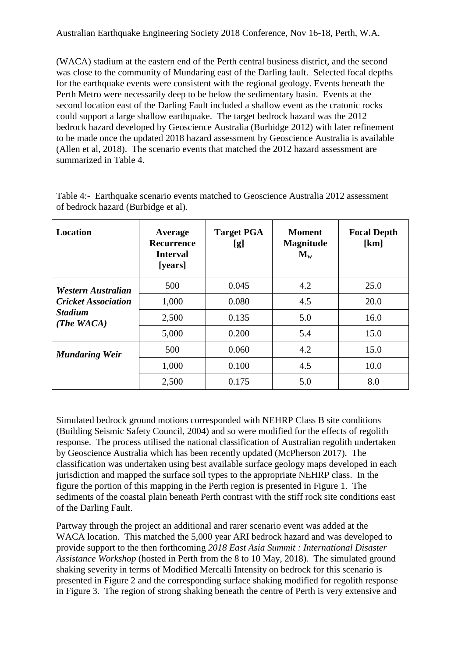(WACA) stadium at the eastern end of the Perth central business district, and the second was close to the community of Mundaring east of the Darling fault. Selected focal depths for the earthquake events were consistent with the regional geology. Events beneath the Perth Metro were necessarily deep to be below the sedimentary basin. Events at the second location east of the Darling Fault included a shallow event as the cratonic rocks could support a large shallow earthquake. The target bedrock hazard was the 2012 bedrock hazard developed by Geoscience Australia (Burbidge 2012) with later refinement to be made once the updated 2018 hazard assessment by Geoscience Australia is available (Allen et al, 2018). The scenario events that matched the 2012 hazard assessment are summarized in Table 4.

| <b>Location</b>                 | Average<br>Recurrence<br><b>Interval</b><br>[years] | <b>Target PGA</b><br>[g] | <b>Moment</b><br><b>Magnitude</b><br>$\mathbf{M}_{\mathbf{w}}$ | <b>Focal Depth</b><br>[km] |  |
|---------------------------------|-----------------------------------------------------|--------------------------|----------------------------------------------------------------|----------------------------|--|
| Western Australian              | 500                                                 | 0.045                    | 4.2                                                            | 25.0                       |  |
| <b>Cricket Association</b>      | 1,000                                               | 0.080                    | 4.5                                                            | 20.0                       |  |
| <b>Stadium</b><br>(The $WACA$ ) | 2,500                                               | 0.135                    | 5.0                                                            | 16.0                       |  |
|                                 | 5,000                                               | 0.200                    | 5.4                                                            | 15.0                       |  |
| <b>Mundaring Weir</b>           | 500                                                 | 0.060                    | 4.2                                                            | 15.0                       |  |
|                                 | 1,000                                               | 0.100                    | 4.5                                                            | 10.0                       |  |
|                                 | 2,500                                               | 0.175                    | 5.0                                                            | 8.0                        |  |

Table 4:- Earthquake scenario events matched to Geoscience Australia 2012 assessment of bedrock hazard (Burbidge et al).

Simulated bedrock ground motions corresponded with NEHRP Class B site conditions (Building Seismic Safety Council, 2004) and so were modified for the effects of regolith response. The process utilised the national classification of Australian regolith undertaken by Geoscience Australia which has been recently updated (McPherson 2017). The classification was undertaken using best available surface geology maps developed in each jurisdiction and mapped the surface soil types to the appropriate NEHRP class. In the figure the portion of this mapping in the Perth region is presented in Figure 1. The sediments of the coastal plain beneath Perth contrast with the stiff rock site conditions east of the Darling Fault.

Partway through the project an additional and rarer scenario event was added at the WACA location. This matched the 5,000 year ARI bedrock hazard and was developed to provide support to the then forthcoming *2018 East Asia Summit : International Disaster Assistance Workshop* (hosted in Perth from the 8 to 10 May, 2018). The simulated ground shaking severity in terms of Modified Mercalli Intensity on bedrock for this scenario is presented in Figure 2 and the corresponding surface shaking modified for regolith response in Figure 3. The region of strong shaking beneath the centre of Perth is very extensive and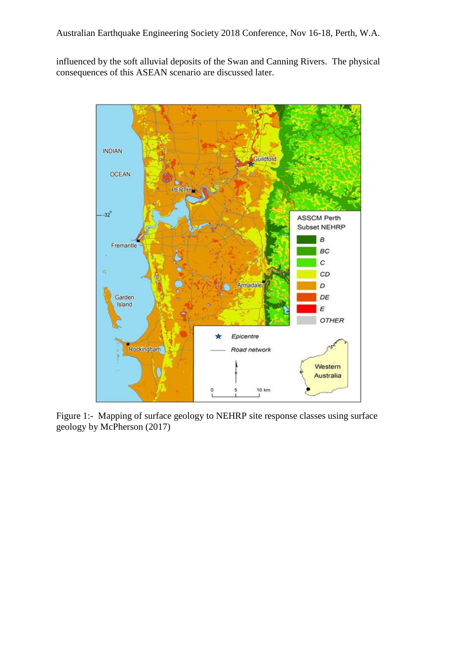influenced by the soft alluvial deposits of the Swan and Canning Rivers. The physical consequences of this ASEAN scenario are discussed later.



Figure 1:- Mapping of surface geology to NEHRP site response classes using surface geology by McPherson (2017)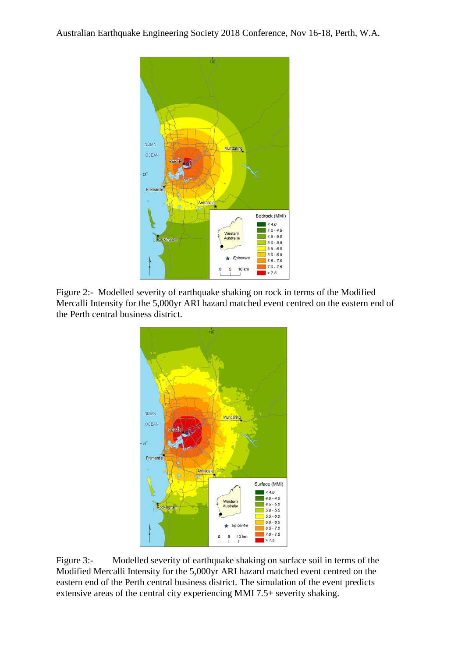

Figure 2:- Modelled severity of earthquake shaking on rock in terms of the Modified Mercalli Intensity for the 5,000yr ARI hazard matched event centred on the eastern end of the Perth central business district.



Figure 3:- Modelled severity of earthquake shaking on surface soil in terms of the Modified Mercalli Intensity for the 5,000yr ARI hazard matched event centred on the eastern end of the Perth central business district. The simulation of the event predicts extensive areas of the central city experiencing MMI 7.5+ severity shaking.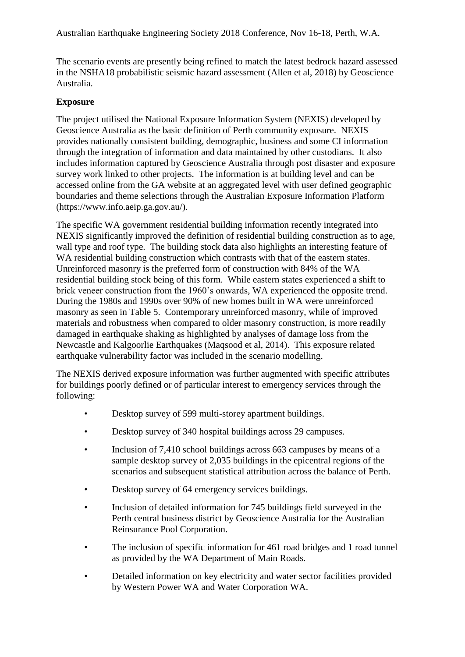The scenario events are presently being refined to match the latest bedrock hazard assessed in the NSHA18 probabilistic seismic hazard assessment (Allen et al, 2018) by Geoscience Australia.

### **Exposure**

The project utilised the National Exposure Information System (NEXIS) developed by Geoscience Australia as the basic definition of Perth community exposure. NEXIS provides nationally consistent building, demographic, business and some CI information through the integration of information and data maintained by other custodians. It also includes information captured by Geoscience Australia through post disaster and exposure survey work linked to other projects. The information is at building level and can be accessed online from the GA website at an aggregated level with user defined geographic boundaries and theme selections through the Australian Exposure Information Platform (https://www.info.aeip.ga.gov.au/).

The specific WA government residential building information recently integrated into NEXIS significantly improved the definition of residential building construction as to age, wall type and roof type. The building stock data also highlights an interesting feature of WA residential building construction which contrasts with that of the eastern states. Unreinforced masonry is the preferred form of construction with 84% of the WA residential building stock being of this form. While eastern states experienced a shift to brick veneer construction from the 1960's onwards, WA experienced the opposite trend. During the 1980s and 1990s over 90% of new homes built in WA were unreinforced masonry as seen in Table 5. Contemporary unreinforced masonry, while of improved materials and robustness when compared to older masonry construction, is more readily damaged in earthquake shaking as highlighted by analyses of damage loss from the Newcastle and Kalgoorlie Earthquakes (Maqsood et al, 2014). This exposure related earthquake vulnerability factor was included in the scenario modelling.

The NEXIS derived exposure information was further augmented with specific attributes for buildings poorly defined or of particular interest to emergency services through the following:

- Desktop survey of 599 multi-storey apartment buildings.
- Desktop survey of 340 hospital buildings across 29 campuses.
- Inclusion of 7,410 school buildings across 663 campuses by means of a sample desktop survey of 2,035 buildings in the epicentral regions of the scenarios and subsequent statistical attribution across the balance of Perth.
- Desktop survey of 64 emergency services buildings.
- Inclusion of detailed information for 745 buildings field surveyed in the Perth central business district by Geoscience Australia for the Australian Reinsurance Pool Corporation.
- The inclusion of specific information for 461 road bridges and 1 road tunnel as provided by the WA Department of Main Roads.
- Detailed information on key electricity and water sector facilities provided by Western Power WA and Water Corporation WA.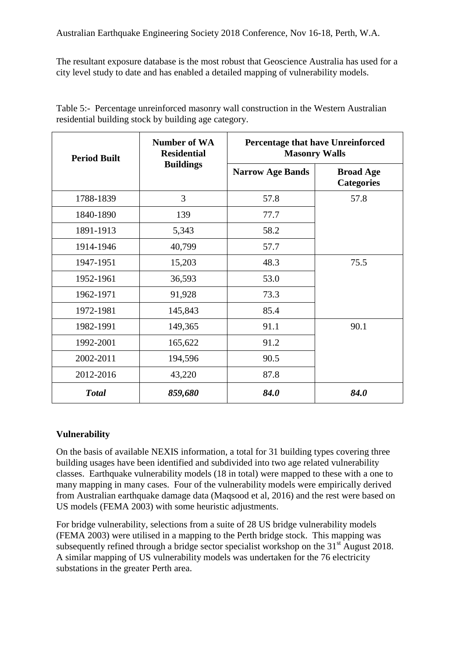The resultant exposure database is the most robust that Geoscience Australia has used for a city level study to date and has enabled a detailed mapping of vulnerability models.

| <b>Period Built</b> | <b>Number of WA</b><br><b>Residential</b> | <b>Percentage that have Unreinforced</b><br><b>Masonry Walls</b> |                                       |  |
|---------------------|-------------------------------------------|------------------------------------------------------------------|---------------------------------------|--|
|                     | <b>Buildings</b>                          | <b>Narrow Age Bands</b>                                          | <b>Broad Age</b><br><b>Categories</b> |  |
| 1788-1839           | 3                                         | 57.8                                                             | 57.8                                  |  |
| 1840-1890           | 139                                       | 77.7                                                             |                                       |  |
| 1891-1913           | 5,343                                     | 58.2                                                             |                                       |  |
| 1914-1946           | 40,799                                    | 57.7                                                             |                                       |  |
| 1947-1951           | 15,203                                    | 48.3                                                             | 75.5                                  |  |
| 1952-1961           | 36,593                                    | 53.0                                                             |                                       |  |
| 1962-1971           | 91,928                                    | 73.3                                                             |                                       |  |
| 1972-1981           | 145,843                                   | 85.4                                                             |                                       |  |
| 1982-1991           | 149,365                                   | 91.1                                                             | 90.1                                  |  |
| 1992-2001           | 165,622                                   | 91.2                                                             |                                       |  |
| 2002-2011           | 194,596                                   | 90.5                                                             |                                       |  |
| 2012-2016           | 43,220                                    | 87.8                                                             |                                       |  |
| <b>Total</b>        | 859,680                                   | 84.0                                                             | 84.0                                  |  |

Table 5:- Percentage unreinforced masonry wall construction in the Western Australian residential building stock by building age category.

### **Vulnerability**

On the basis of available NEXIS information, a total for 31 building types covering three building usages have been identified and subdivided into two age related vulnerability classes. Earthquake vulnerability models (18 in total) were mapped to these with a one to many mapping in many cases. Four of the vulnerability models were empirically derived from Australian earthquake damage data (Maqsood et al, 2016) and the rest were based on US models (FEMA 2003) with some heuristic adjustments.

For bridge vulnerability, selections from a suite of 28 US bridge vulnerability models (FEMA 2003) were utilised in a mapping to the Perth bridge stock. This mapping was subsequently refined through a bridge sector specialist workshop on the  $31<sup>st</sup>$  August 2018. A similar mapping of US vulnerability models was undertaken for the 76 electricity substations in the greater Perth area.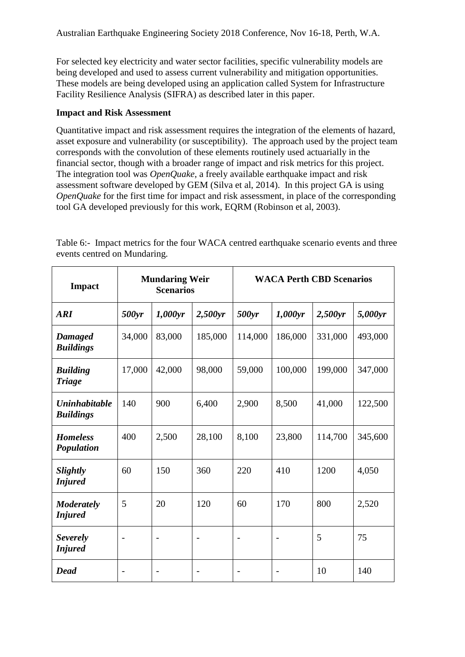For selected key electricity and water sector facilities, specific vulnerability models are being developed and used to assess current vulnerability and mitigation opportunities. These models are being developed using an application called System for Infrastructure Facility Resilience Analysis (SIFRA) as described later in this paper.

#### **Impact and Risk Assessment**

Quantitative impact and risk assessment requires the integration of the elements of hazard, asset exposure and vulnerability (or susceptibility). The approach used by the project team corresponds with the convolution of these elements routinely used actuarially in the financial sector, though with a broader range of impact and risk metrics for this project. The integration tool was *OpenQuake*, a freely available earthquake impact and risk assessment software developed by GEM (Silva et al, 2014). In this project GA is using *OpenQuake* for the first time for impact and risk assessment, in place of the corresponding tool GA developed previously for this work, EQRM (Robinson et al, 2003).

| <b>Impact</b>                            | <b>Mundaring Weir</b><br><b>Scenarios</b> |                | <b>WACA Perth CBD Scenarios</b> |                          |                |         |         |
|------------------------------------------|-------------------------------------------|----------------|---------------------------------|--------------------------|----------------|---------|---------|
| <b>ARI</b>                               | 500yr                                     | 1,000yr        | 2,500yr                         | 500yr                    | 1,000yr        | 2,500yr | 5,000yr |
| <b>Damaged</b><br><b>Buildings</b>       | 34,000                                    | 83,000         | 185,000                         | 114,000                  | 186,000        | 331,000 | 493,000 |
| <b>Building</b><br><b>Triage</b>         | 17,000                                    | 42,000         | 98,000                          | 59,000                   | 100,000        | 199,000 | 347,000 |
| <b>Uninhabitable</b><br><b>Buildings</b> | 140                                       | 900            | 6,400                           | 2,900                    | 8,500          | 41,000  | 122,500 |
| <b>Homeless</b><br>Population            | 400                                       | 2,500          | 28,100                          | 8,100                    | 23,800         | 114,700 | 345,600 |
| <b>Slightly</b><br><b>Injured</b>        | 60                                        | 150            | 360                             | 220                      | 410            | 1200    | 4,050   |
| <b>Moderately</b><br><b>Injured</b>      | 5                                         | 20             | 120                             | 60                       | 170            | 800     | 2,520   |
| <b>Severely</b><br><b>Injured</b>        | $\overline{\phantom{0}}$                  | $\overline{a}$ | $\overline{a}$                  | $\overline{\phantom{a}}$ | $\overline{a}$ | 5       | 75      |
| <b>Dead</b>                              |                                           |                |                                 |                          |                | 10      | 140     |

Table 6:- Impact metrics for the four WACA centred earthquake scenario events and three events centred on Mundaring.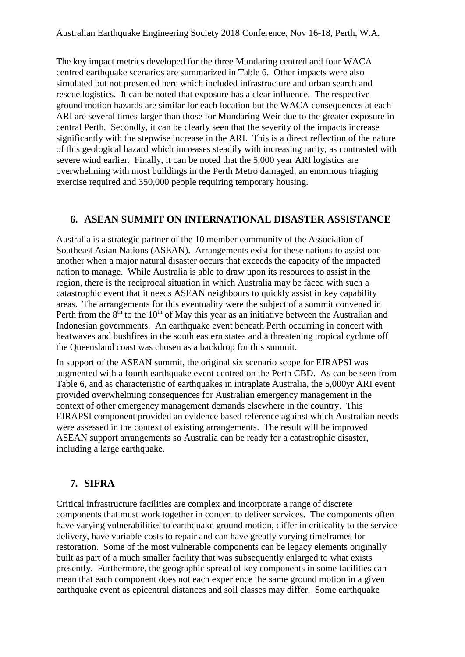The key impact metrics developed for the three Mundaring centred and four WACA centred earthquake scenarios are summarized in Table 6. Other impacts were also simulated but not presented here which included infrastructure and urban search and rescue logistics. It can be noted that exposure has a clear influence. The respective ground motion hazards are similar for each location but the WACA consequences at each ARI are several times larger than those for Mundaring Weir due to the greater exposure in central Perth. Secondly, it can be clearly seen that the severity of the impacts increase significantly with the stepwise increase in the ARI. This is a direct reflection of the nature of this geological hazard which increases steadily with increasing rarity, as contrasted with severe wind earlier. Finally, it can be noted that the 5,000 year ARI logistics are overwhelming with most buildings in the Perth Metro damaged, an enormous triaging exercise required and 350,000 people requiring temporary housing.

# **6. ASEAN SUMMIT ON INTERNATIONAL DISASTER ASSISTANCE**

Australia is a strategic partner of the 10 member community of the Association of Southeast Asian Nations (ASEAN). Arrangements exist for these nations to assist one another when a major natural disaster occurs that exceeds the capacity of the impacted nation to manage. While Australia is able to draw upon its resources to assist in the region, there is the reciprocal situation in which Australia may be faced with such a catastrophic event that it needs ASEAN neighbours to quickly assist in key capability areas. The arrangements for this eventuality were the subject of a summit convened in Perth from the  $8<sup>th</sup>$  to the 10<sup>th</sup> of May this year as an initiative between the Australian and Indonesian governments. An earthquake event beneath Perth occurring in concert with heatwaves and bushfires in the south eastern states and a threatening tropical cyclone off the Queensland coast was chosen as a backdrop for this summit.

In support of the ASEAN summit, the original six scenario scope for EIRAPSI was augmented with a fourth earthquake event centred on the Perth CBD. As can be seen from Table 6, and as characteristic of earthquakes in intraplate Australia, the 5,000yr ARI event provided overwhelming consequences for Australian emergency management in the context of other emergency management demands elsewhere in the country. This EIRAPSI component provided an evidence based reference against which Australian needs were assessed in the context of existing arrangements. The result will be improved ASEAN support arrangements so Australia can be ready for a catastrophic disaster, including a large earthquake.

### **7. SIFRA**

Critical infrastructure facilities are complex and incorporate a range of discrete components that must work together in concert to deliver services. The components often have varying vulnerabilities to earthquake ground motion, differ in criticality to the service delivery, have variable costs to repair and can have greatly varying timeframes for restoration. Some of the most vulnerable components can be legacy elements originally built as part of a much smaller facility that was subsequently enlarged to what exists presently. Furthermore, the geographic spread of key components in some facilities can mean that each component does not each experience the same ground motion in a given earthquake event as epicentral distances and soil classes may differ. Some earthquake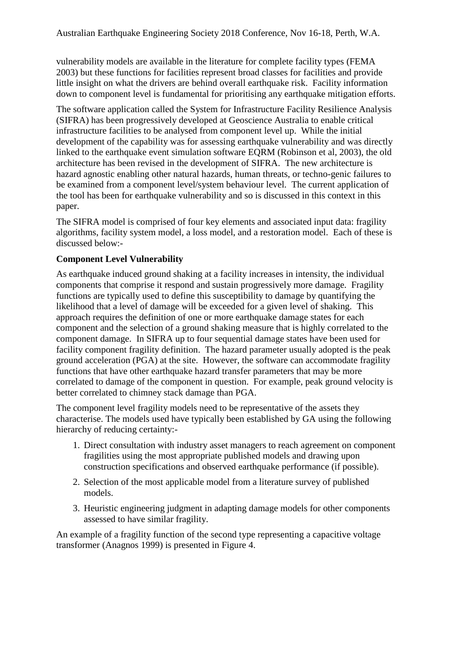vulnerability models are available in the literature for complete facility types (FEMA 2003) but these functions for facilities represent broad classes for facilities and provide little insight on what the drivers are behind overall earthquake risk. Facility information down to component level is fundamental for prioritising any earthquake mitigation efforts.

The software application called the System for Infrastructure Facility Resilience Analysis (SIFRA) has been progressively developed at Geoscience Australia to enable critical infrastructure facilities to be analysed from component level up. While the initial development of the capability was for assessing earthquake vulnerability and was directly linked to the earthquake event simulation software EQRM (Robinson et al, 2003), the old architecture has been revised in the development of SIFRA. The new architecture is hazard agnostic enabling other natural hazards, human threats, or techno-genic failures to be examined from a component level/system behaviour level. The current application of the tool has been for earthquake vulnerability and so is discussed in this context in this paper.

The SIFRA model is comprised of four key elements and associated input data: fragility algorithms, facility system model, a loss model, and a restoration model. Each of these is discussed below:-

#### **Component Level Vulnerability**

As earthquake induced ground shaking at a facility increases in intensity, the individual components that comprise it respond and sustain progressively more damage. Fragility functions are typically used to define this susceptibility to damage by quantifying the likelihood that a level of damage will be exceeded for a given level of shaking. This approach requires the definition of one or more earthquake damage states for each component and the selection of a ground shaking measure that is highly correlated to the component damage. In SIFRA up to four sequential damage states have been used for facility component fragility definition. The hazard parameter usually adopted is the peak ground acceleration (PGA) at the site. However, the software can accommodate fragility functions that have other earthquake hazard transfer parameters that may be more correlated to damage of the component in question. For example, peak ground velocity is better correlated to chimney stack damage than PGA.

The component level fragility models need to be representative of the assets they characterise. The models used have typically been established by GA using the following hierarchy of reducing certainty:-

- 1. Direct consultation with industry asset managers to reach agreement on component fragilities using the most appropriate published models and drawing upon construction specifications and observed earthquake performance (if possible).
- 2. Selection of the most applicable model from a literature survey of published models.
- 3. Heuristic engineering judgment in adapting damage models for other components assessed to have similar fragility.

An example of a fragility function of the second type representing a capacitive voltage transformer (Anagnos 1999) is presented in Figure 4.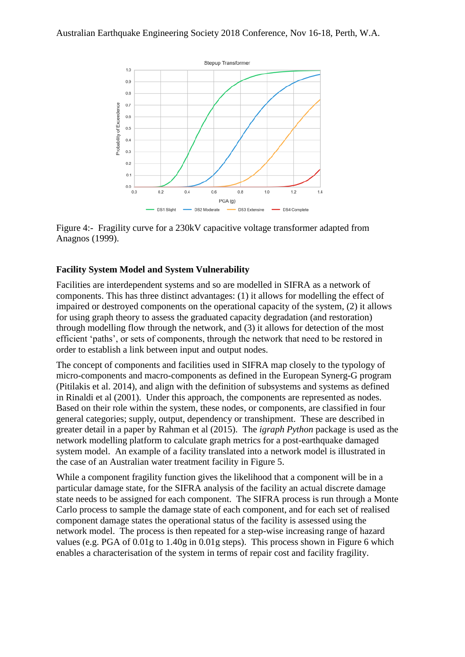

Figure 4:- Fragility curve for a 230kV capacitive voltage transformer adapted from Anagnos (1999).

# **Facility System Model and System Vulnerability**

Facilities are interdependent systems and so are modelled in SIFRA as a network of components. This has three distinct advantages: (1) it allows for modelling the effect of impaired or destroyed components on the operational capacity of the system, (2) it allows for using graph theory to assess the graduated capacity degradation (and restoration) through modelling flow through the network, and (3) it allows for detection of the most efficient 'paths', or sets of components, through the network that need to be restored in order to establish a link between input and output nodes.

The concept of components and facilities used in SIFRA map closely to the typology of micro-components and macro-components as defined in the European Synerg-G program (Pitilakis et al. 2014), and align with the definition of subsystems and systems as defined in Rinaldi et al (2001). Under this approach, the components are represented as nodes. Based on their role within the system, these nodes, or components, are classified in four general categories; supply, output, dependency or transhipment. These are described in greater detail in a paper by Rahman et al (2015). The *igraph Python* package is used as the network modelling platform to calculate graph metrics for a post-earthquake damaged system model. An example of a facility translated into a network model is illustrated in the case of an Australian water treatment facility in Figure 5.

While a component fragility function gives the likelihood that a component will be in a particular damage state, for the SIFRA analysis of the facility an actual discrete damage state needs to be assigned for each component. The SIFRA process is run through a Monte Carlo process to sample the damage state of each component, and for each set of realised component damage states the operational status of the facility is assessed using the network model. The process is then repeated for a step-wise increasing range of hazard values (e.g. PGA of 0.01g to 1.40g in 0.01g steps). This process shown in Figure 6 which enables a characterisation of the system in terms of repair cost and facility fragility.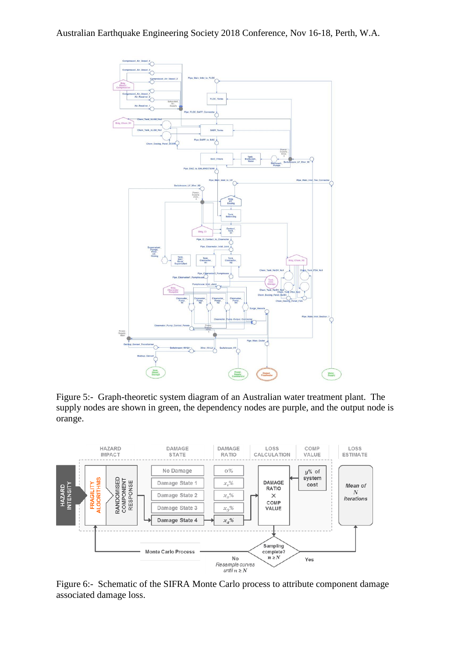

Figure 5:- Graph-theoretic system diagram of an Australian water treatment plant. The supply nodes are shown in green, the dependency nodes are purple, and the output node is orange.



Figure 6:- Schematic of the SIFRA Monte Carlo process to attribute component damage associated damage loss.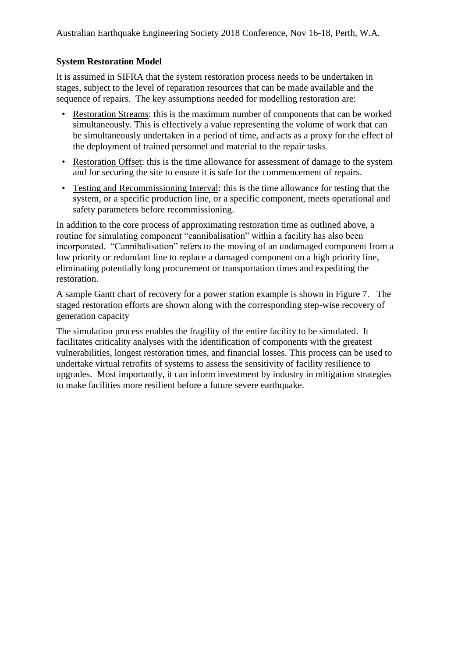#### **System Restoration Model**

It is assumed in SIFRA that the system restoration process needs to be undertaken in stages, subject to the level of reparation resources that can be made available and the sequence of repairs. The key assumptions needed for modelling restoration are:

- Restoration Streams: this is the maximum number of components that can be worked simultaneously. This is effectively a value representing the volume of work that can be simultaneously undertaken in a period of time, and acts as a proxy for the effect of the deployment of trained personnel and material to the repair tasks.
- Restoration Offset: this is the time allowance for assessment of damage to the system and for securing the site to ensure it is safe for the commencement of repairs.
- Testing and Recommissioning Interval: this is the time allowance for testing that the system, or a specific production line, or a specific component, meets operational and safety parameters before recommissioning.

In addition to the core process of approximating restoration time as outlined above, a routine for simulating component "cannibalisation" within a facility has also been incorporated. "Cannibalisation" refers to the moving of an undamaged component from a low priority or redundant line to replace a damaged component on a high priority line, eliminating potentially long procurement or transportation times and expediting the restoration.

A sample Gantt chart of recovery for a power station example is shown in Figure 7. The staged restoration efforts are shown along with the corresponding step-wise recovery of generation capacity

The simulation process enables the fragility of the entire facility to be simulated. It facilitates criticality analyses with the identification of components with the greatest vulnerabilities, longest restoration times, and financial losses. This process can be used to undertake virtual retrofits of systems to assess the sensitivity of facility resilience to upgrades. Most importantly, it can inform investment by industry in mitigation strategies to make facilities more resilient before a future severe earthquake.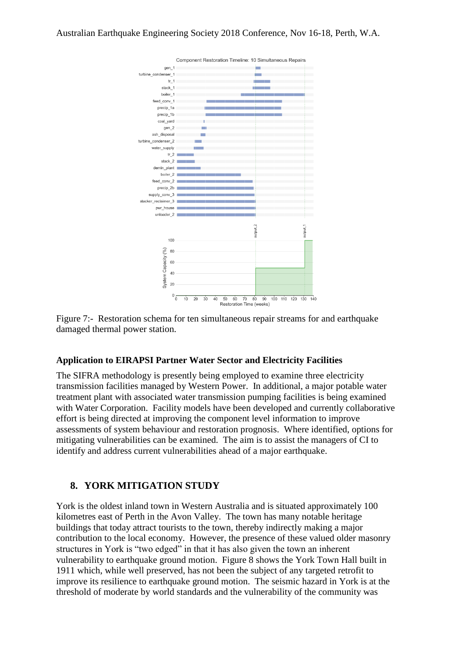

Figure 7:- Restoration schema for ten simultaneous repair streams for and earthquake damaged thermal power station.

### **Application to EIRAPSI Partner Water Sector and Electricity Facilities**

The SIFRA methodology is presently being employed to examine three electricity transmission facilities managed by Western Power. In additional, a major potable water treatment plant with associated water transmission pumping facilities is being examined with Water Corporation. Facility models have been developed and currently collaborative effort is being directed at improving the component level information to improve assessments of system behaviour and restoration prognosis. Where identified, options for mitigating vulnerabilities can be examined. The aim is to assist the managers of CI to identify and address current vulnerabilities ahead of a major earthquake.

# **8. YORK MITIGATION STUDY**

York is the oldest inland town in Western Australia and is situated approximately 100 kilometres east of Perth in the Avon Valley. The town has many notable heritage buildings that today attract tourists to the town, thereby indirectly making a major contribution to the local economy. However, the presence of these valued older masonry structures in York is "two edged" in that it has also given the town an inherent vulnerability to earthquake ground motion. Figure 8 shows the York Town Hall built in 1911 which, while well preserved, has not been the subject of any targeted retrofit to improve its resilience to earthquake ground motion. The seismic hazard in York is at the threshold of moderate by world standards and the vulnerability of the community was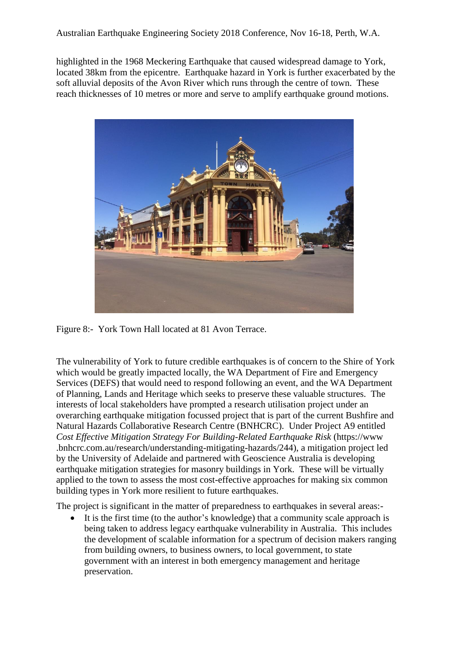highlighted in the 1968 Meckering Earthquake that caused widespread damage to York, located 38km from the epicentre. Earthquake hazard in York is further exacerbated by the soft alluvial deposits of the Avon River which runs through the centre of town. These reach thicknesses of 10 metres or more and serve to amplify earthquake ground motions.



Figure 8:- York Town Hall located at 81 Avon Terrace.

The vulnerability of York to future credible earthquakes is of concern to the Shire of York which would be greatly impacted locally, the WA Department of Fire and Emergency Services (DEFS) that would need to respond following an event, and the WA Department of Planning, Lands and Heritage which seeks to preserve these valuable structures. The interests of local stakeholders have prompted a research utilisation project under an overarching earthquake mitigation focussed project that is part of the current Bushfire and Natural Hazards Collaborative Research Centre (BNHCRC). Under Project A9 entitled *Cost Effective Mitigation Strategy For Building-Related Earthquake Risk* (https://www .bnhcrc.com.au/research/understanding-mitigating-hazards/244), a mitigation project led by the University of Adelaide and partnered with Geoscience Australia is developing earthquake mitigation strategies for masonry buildings in York. These will be virtually applied to the town to assess the most cost-effective approaches for making six common building types in York more resilient to future earthquakes.

The project is significant in the matter of preparedness to earthquakes in several areas:-

 It is the first time (to the author's knowledge) that a community scale approach is being taken to address legacy earthquake vulnerability in Australia. This includes the development of scalable information for a spectrum of decision makers ranging from building owners, to business owners, to local government, to state government with an interest in both emergency management and heritage preservation.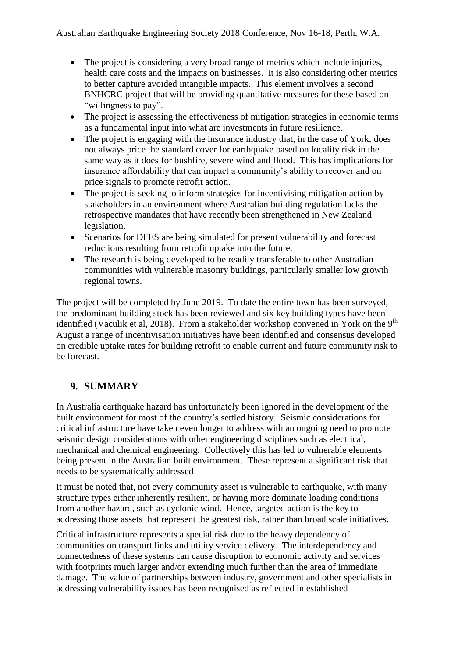- The project is considering a very broad range of metrics which include injuries, health care costs and the impacts on businesses. It is also considering other metrics to better capture avoided intangible impacts. This element involves a second BNHCRC project that will be providing quantitative measures for these based on "willingness to pay".
- The project is assessing the effectiveness of mitigation strategies in economic terms as a fundamental input into what are investments in future resilience.
- The project is engaging with the insurance industry that, in the case of York, does not always price the standard cover for earthquake based on locality risk in the same way as it does for bushfire, severe wind and flood. This has implications for insurance affordability that can impact a community's ability to recover and on price signals to promote retrofit action.
- The project is seeking to inform strategies for incentivising mitigation action by stakeholders in an environment where Australian building regulation lacks the retrospective mandates that have recently been strengthened in New Zealand legislation.
- Scenarios for DFES are being simulated for present vulnerability and forecast reductions resulting from retrofit uptake into the future.
- The research is being developed to be readily transferable to other Australian communities with vulnerable masonry buildings, particularly smaller low growth regional towns.

The project will be completed by June 2019. To date the entire town has been surveyed, the predominant building stock has been reviewed and six key building types have been identified (Vaculik et al, 2018). From a stakeholder workshop convened in York on the  $9<sup>th</sup>$ August a range of incentivisation initiatives have been identified and consensus developed on credible uptake rates for building retrofit to enable current and future community risk to be forecast.

# **9. SUMMARY**

In Australia earthquake hazard has unfortunately been ignored in the development of the built environment for most of the country's settled history. Seismic considerations for critical infrastructure have taken even longer to address with an ongoing need to promote seismic design considerations with other engineering disciplines such as electrical, mechanical and chemical engineering. Collectively this has led to vulnerable elements being present in the Australian built environment. These represent a significant risk that needs to be systematically addressed

It must be noted that, not every community asset is vulnerable to earthquake, with many structure types either inherently resilient, or having more dominate loading conditions from another hazard, such as cyclonic wind. Hence, targeted action is the key to addressing those assets that represent the greatest risk, rather than broad scale initiatives.

Critical infrastructure represents a special risk due to the heavy dependency of communities on transport links and utility service delivery. The interdependency and connectedness of these systems can cause disruption to economic activity and services with footprints much larger and/or extending much further than the area of immediate damage. The value of partnerships between industry, government and other specialists in addressing vulnerability issues has been recognised as reflected in established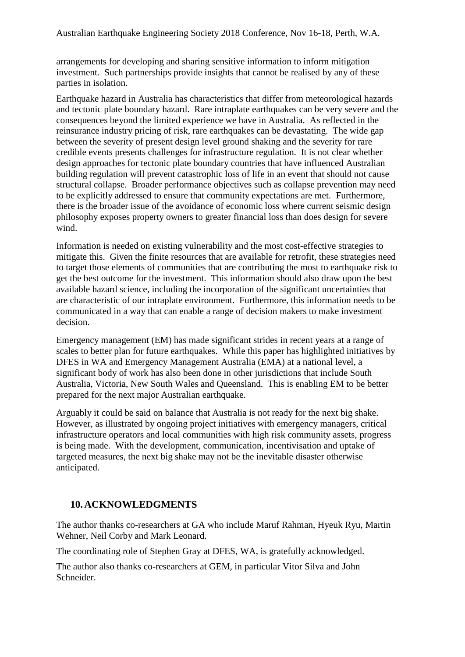arrangements for developing and sharing sensitive information to inform mitigation investment. Such partnerships provide insights that cannot be realised by any of these parties in isolation.

Earthquake hazard in Australia has characteristics that differ from meteorological hazards and tectonic plate boundary hazard. Rare intraplate earthquakes can be very severe and the consequences beyond the limited experience we have in Australia. As reflected in the reinsurance industry pricing of risk, rare earthquakes can be devastating. The wide gap between the severity of present design level ground shaking and the severity for rare credible events presents challenges for infrastructure regulation. It is not clear whether design approaches for tectonic plate boundary countries that have influenced Australian building regulation will prevent catastrophic loss of life in an event that should not cause structural collapse. Broader performance objectives such as collapse prevention may need to be explicitly addressed to ensure that community expectations are met. Furthermore, there is the broader issue of the avoidance of economic loss where current seismic design philosophy exposes property owners to greater financial loss than does design for severe wind.

Information is needed on existing vulnerability and the most cost-effective strategies to mitigate this. Given the finite resources that are available for retrofit, these strategies need to target those elements of communities that are contributing the most to earthquake risk to get the best outcome for the investment. This information should also draw upon the best available hazard science, including the incorporation of the significant uncertainties that are characteristic of our intraplate environment. Furthermore, this information needs to be communicated in a way that can enable a range of decision makers to make investment decision.

Emergency management (EM) has made significant strides in recent years at a range of scales to better plan for future earthquakes. While this paper has highlighted initiatives by DFES in WA and Emergency Management Australia (EMA) at a national level, a significant body of work has also been done in other jurisdictions that include South Australia, Victoria, New South Wales and Queensland. This is enabling EM to be better prepared for the next major Australian earthquake.

Arguably it could be said on balance that Australia is not ready for the next big shake. However, as illustrated by ongoing project initiatives with emergency managers, critical infrastructure operators and local communities with high risk community assets, progress is being made. With the development, communication, incentivisation and uptake of targeted measures, the next big shake may not be the inevitable disaster otherwise anticipated.

# **10.ACKNOWLEDGMENTS**

The author thanks co-researchers at GA who include Maruf Rahman, Hyeuk Ryu, Martin Wehner, Neil Corby and Mark Leonard.

The coordinating role of Stephen Gray at DFES, WA, is gratefully acknowledged.

The author also thanks co-researchers at GEM, in particular Vitor Silva and John Schneider.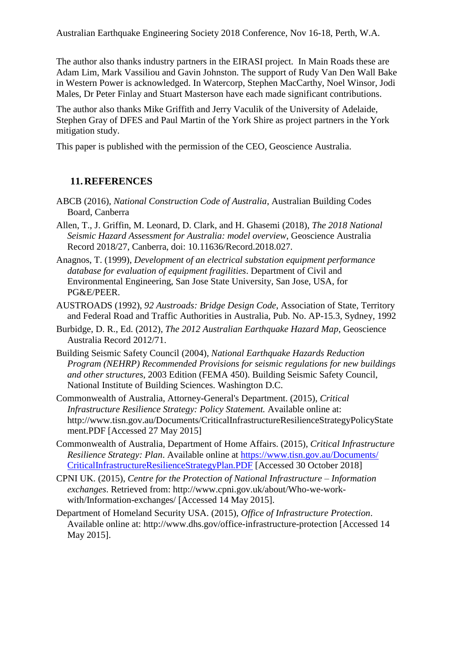The author also thanks industry partners in the EIRASI project. In Main Roads these are Adam Lim, Mark Vassiliou and Gavin Johnston. The support of Rudy Van Den Wall Bake in Western Power is acknowledged. In Watercorp, Stephen MacCarthy, Noel Winsor, Jodi Males, Dr Peter Finlay and Stuart Masterson have each made significant contributions.

The author also thanks Mike Griffith and Jerry Vaculik of the University of Adelaide, Stephen Gray of DFES and Paul Martin of the York Shire as project partners in the York mitigation study.

This paper is published with the permission of the CEO, Geoscience Australia.

### **11.REFERENCES**

- ABCB (2016), *National Construction Code of Australia*, Australian Building Codes Board, Canberra
- Allen, T., J. Griffin, M. Leonard, D. Clark, and H. Ghasemi (2018), *The 2018 National Seismic Hazard Assessment for Australia: model overview*, Geoscience Australia Record 2018/27, Canberra, doi: 10.11636/Record.2018.027.
- Anagnos, T. (1999), *Development of an electrical substation equipment performance database for evaluation of equipment fragilities*. Department of Civil and Environmental Engineering, San Jose State University, San Jose, USA, for PG&E/PEER.
- AUSTROADS (1992), *92 Austroads: Bridge Design Code*, Association of State, Territory and Federal Road and Traffic Authorities in Australia, Pub. No. AP-15.3, Sydney, 1992
- Burbidge, D. R., Ed. (2012), *The 2012 Australian Earthquake Hazard Map*, Geoscience Australia Record 2012/71.
- Building Seismic Safety Council (2004), *National Earthquake Hazards Reduction Program (NEHRP) Recommended Provisions for seismic regulations for new buildings and other structures*, 2003 Edition (FEMA 450). Building Seismic Safety Council, National Institute of Building Sciences. Washington D.C.
- Commonwealth of Australia, Attorney-General's Department. (2015), *Critical Infrastructure Resilience Strategy: Policy Statement.* Available online at: http://www.tisn.gov.au/Documents/CriticalInfrastructureResilienceStrategyPolicyState ment.PDF [Accessed 27 May 2015]
- Commonwealth of Australia, Department of Home Affairs. (2015), *Critical Infrastructure Resilience Strategy: Plan*. Available online at [https://www.tisn.gov.au/Documents/](https://www.tisn.gov.au/Documents/CriticalInfrastructureResilienceStrategyPlan.PDF) [CriticalInfrastructureResilienceStrategyPlan.PDF](https://www.tisn.gov.au/Documents/CriticalInfrastructureResilienceStrategyPlan.PDF) [Accessed 30 October 2018]
- CPNI UK. (2015), *Centre for the Protection of National Infrastructure – Information exchanges*. Retrieved from: http://www.cpni.gov.uk/about/Who-we-workwith/Information-exchanges/ [Accessed 14 May 2015].
- Department of Homeland Security USA. (2015), *Office of Infrastructure Protection*. Available online at: http://www.dhs.gov/office-infrastructure-protection [Accessed 14 May 2015].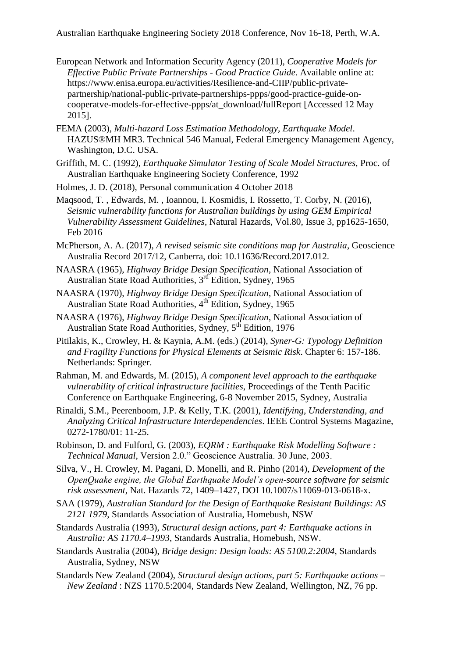- European Network and Information Security Agency (2011), *Cooperative Models for Effective Public Private Partnerships - Good Practice Guide*. Available online at: https://www.enisa.europa.eu/activities/Resilience-and-CIIP/public-privatepartnership/national-public-private-partnerships-ppps/good-practice-guide-oncooperatve-models-for-effective-ppps/at\_download/fullReport [Accessed 12 May 2015].
- FEMA (2003), *Multi-hazard Loss Estimation Methodology, Earthquake Model*. HAZUS®MH MR3. Technical 546 Manual, Federal Emergency Management Agency, Washington, D.C. USA.
- Griffith, M. C. (1992), *Earthquake Simulator Testing of Scale Model Structures*, Proc. of Australian Earthquake Engineering Society Conference, 1992
- Holmes, J. D. (2018), Personal communication 4 October 2018
- Maqsood, T. , Edwards, M. , Ioannou, I. Kosmidis, I. Rossetto, T. Corby, N. (2016), *Seismic vulnerability functions for Australian buildings by using GEM Empirical Vulnerability Assessment Guidelines*, Natural Hazards, Vol.80, Issue 3, pp1625-1650, Feb 2016
- McPherson, A. A. (2017), *A revised seismic site conditions map for Australia*, Geoscience Australia Record 2017/12, Canberra, doi: 10.11636/Record.2017.012.
- NAASRA (1965), *Highway Bridge Design Specification*, National Association of Australian State Road Authorities, 3<sup>rd</sup> Edition, Sydney, 1965
- NAASRA (1970), *Highway Bridge Design Specification*, National Association of Australian State Road Authorities, 4<sup>th</sup> Edition, Sydney, 1965
- NAASRA (1976), *Highway Bridge Design Specification*, National Association of Australian State Road Authorities, Sydney, 5<sup>th</sup> Edition, 1976
- Pitilakis, K., Crowley, H. & Kaynia, A.M. (eds.) (2014), *Syner-G: Typology Definition and Fragility Functions for Physical Elements at Seismic Risk*. Chapter 6: 157-186. Netherlands: Springer.
- Rahman, M. and Edwards, M. (2015), *A component level approach to the earthquake vulnerability of critical infrastructure facilities*, Proceedings of the Tenth Pacific Conference on Earthquake Engineering, 6-8 November 2015, Sydney, Australia
- Rinaldi, S.M., Peerenboom, J.P. & Kelly, T.K. (2001), *Identifying, Understanding, and Analyzing Critical Infrastructure Interdependencies*. IEEE Control Systems Magazine, 0272-1780/01: 11-25.
- Robinson, D. and Fulford, G. (2003), *EQRM : Earthquake Risk Modelling Software : Technical Manual*, Version 2.0." Geoscience Australia. 30 June, 2003.
- Silva, V., H. Crowley, M. Pagani, D. Monelli, and R. Pinho (2014), *Development of the OpenQuake engine, the Global Earthquake Model's open-source software for seismic risk assessment*, Nat. Hazards 72, 1409–1427, DOI 10.1007/s11069-013-0618-x.
- SAA (1979), *Australian Standard for the Design of Earthquake Resistant Buildings: AS 2121 1979*, Standards Association of Australia, Homebush, NSW
- Standards Australia (1993), *Structural design actions, part 4: Earthquake actions in Australia: AS 1170.4–1993*, Standards Australia, Homebush, NSW.
- Standards Australia (2004), *Bridge design: Design loads: AS 5100.2:2004,* Standards Australia, Sydney, NSW
- Standards New Zealand (2004), *Structural design actions, part 5: Earthquake actions – New Zealand* : NZS 1170.5:2004, Standards New Zealand, Wellington, NZ, 76 pp.